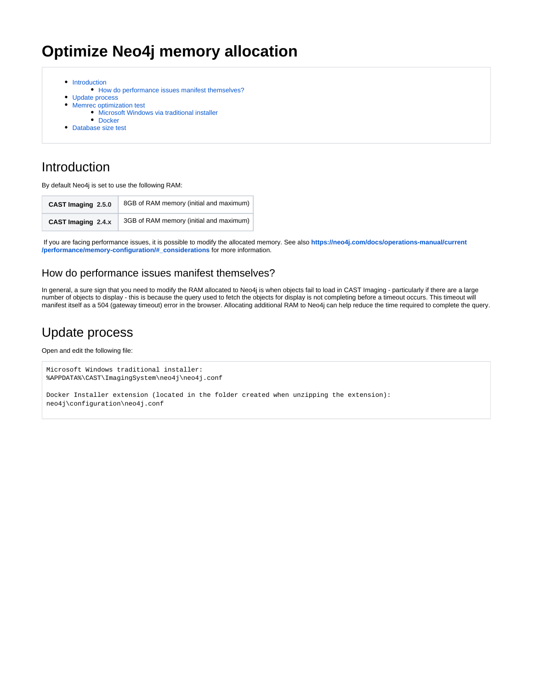# **Optimize Neo4j memory allocation**

- [Introduction](#page-0-0)
	- [How do performance issues manifest themselves?](#page-0-1)
- [Update process](#page-0-2)
- [Memrec optimization test](#page-1-0)
	- [Microsoft Windows via traditional installer](#page-1-1)
	- [Docker](#page-1-2)
- [Database size test](#page-2-0)

## <span id="page-0-0"></span>Introduction

By default Neo4j is set to use the following RAM:

| CAST Imaging 2.5.0 | 8GB of RAM memory (initial and maximum) |
|--------------------|-----------------------------------------|
| CAST Imaging 2.4.x | 3GB of RAM memory (initial and maximum) |

 If you are facing performance issues, it is possible to modify the allocated memory. See also **[https://neo4j.com/docs/operations-manual/current](https://neo4j.com/docs/operations-manual/current/performance/memory-configuration/#_considerations) [/performance/memory-configuration/#\\_considerations](https://neo4j.com/docs/operations-manual/current/performance/memory-configuration/#_considerations)** for more information.

### <span id="page-0-1"></span>How do performance issues manifest themselves?

In general, a sure sign that you need to modify the RAM allocated to Neo4j is when objects fail to load in CAST Imaging - particularly if there are a large number of objects to display - this is because the query used to fetch the objects for display is not completing before a timeout occurs. This timeout will manifest itself as a 504 (gateway timeout) error in the browser. Allocating additional RAM to Neo4j can help reduce the time required to complete the query.

## <span id="page-0-2"></span>Update process

Open and edit the following file:

```
Microsoft Windows traditional installer:
%APPDATA%\CAST\ImagingSystem\neo4j\neo4j.conf
```
Docker Installer extension (located in the folder created when unzipping the extension): neo4j\configuration\neo4j.conf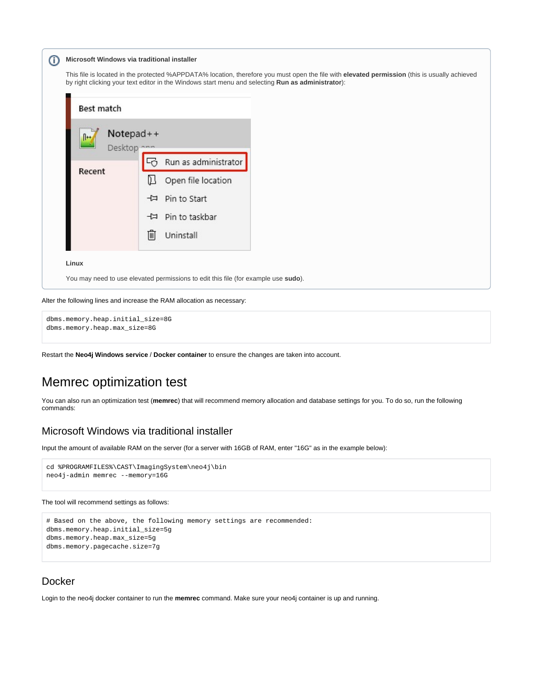| ⊕ | Microsoft Windows via traditional installer |  |  |  |  |
|---|---------------------------------------------|--|--|--|--|
|---|---------------------------------------------|--|--|--|--|

This file is located in the protected %APPDATA% location, therefore you must open the file with **elevated permission** (this is usually achieved by right clicking your text editor in the Windows start menu and selecting **Run as administrator**):



#### **Linux**

You may need to use elevated permissions to edit this file (for example use **sudo**).

```
Alter the following lines and increase the RAM allocation as necessary:
```
dbms.memory.heap.initial\_size=8G dbms.memory.heap.max\_size=8G

Restart the **Neo4j Windows service** / **Docker container** to ensure the changes are taken into account.

## <span id="page-1-0"></span>Memrec optimization test

You can also run an optimization test (**memrec**) that will recommend memory allocation and database settings for you. To do so, run the following commands:

#### <span id="page-1-1"></span>Microsoft Windows via traditional installer

Input the amount of available RAM on the server (for a server with 16GB of RAM, enter "16G" as in the example below):

```
cd %PROGRAMFILES%\CAST\ImagingSystem\neo4j\bin
neo4j-admin memrec --memory=16G
```
#### The tool will recommend settings as follows:

```
# Based on the above, the following memory settings are recommended:
dbms.memory.heap.initial_size=5g
dbms.memory.heap.max_size=5g
dbms.memory.pagecache.size=7g
```
#### <span id="page-1-2"></span>Docker

Login to the neo4j docker container to run the **memrec** command. Make sure your neo4j container is up and running.